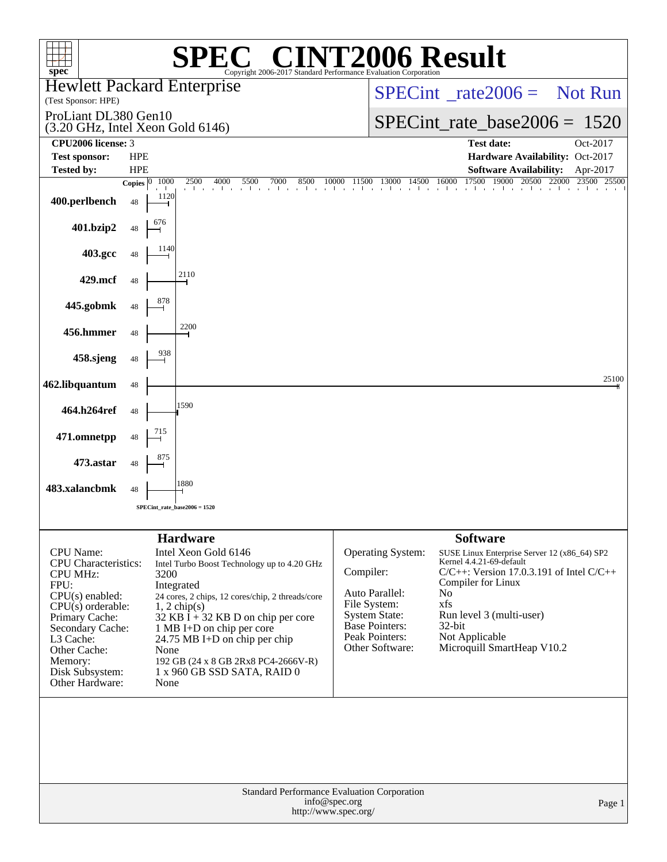| <b>NT2006 Result</b><br>$\left( \begin{array}{c} \mathbb{R} \\ \end{array} \right)$<br>SPE)<br>Copyright 2006-2017 Standard Performance Evaluation Corporation                                                                             |                                    |                                                                                                                                                                                                                                                                                                                                                              |                                                                                                                                                        |                                                                                                                                                                                                                                                                                      |                   |  |
|--------------------------------------------------------------------------------------------------------------------------------------------------------------------------------------------------------------------------------------------|------------------------------------|--------------------------------------------------------------------------------------------------------------------------------------------------------------------------------------------------------------------------------------------------------------------------------------------------------------------------------------------------------------|--------------------------------------------------------------------------------------------------------------------------------------------------------|--------------------------------------------------------------------------------------------------------------------------------------------------------------------------------------------------------------------------------------------------------------------------------------|-------------------|--|
| spec<br><b>Hewlett Packard Enterprise</b><br>(Test Sponsor: HPE)                                                                                                                                                                           |                                    |                                                                                                                                                                                                                                                                                                                                                              |                                                                                                                                                        | $SPECint^{\circ}$ <sub>_rate</sub> 2006 = Not Run                                                                                                                                                                                                                                    |                   |  |
| ProLiant DL380 Gen10<br>(3.20 GHz, Intel Xeon Gold 6146)                                                                                                                                                                                   |                                    |                                                                                                                                                                                                                                                                                                                                                              |                                                                                                                                                        | $SPECint_rate_base2006 = 1520$                                                                                                                                                                                                                                                       |                   |  |
| CPU <sub>2006</sub> license: 3                                                                                                                                                                                                             |                                    |                                                                                                                                                                                                                                                                                                                                                              |                                                                                                                                                        | <b>Test date:</b>                                                                                                                                                                                                                                                                    | Oct-2017          |  |
| <b>Test sponsor:</b>                                                                                                                                                                                                                       | <b>HPE</b>                         |                                                                                                                                                                                                                                                                                                                                                              |                                                                                                                                                        | Hardware Availability: Oct-2017                                                                                                                                                                                                                                                      |                   |  |
| <b>Tested by:</b>                                                                                                                                                                                                                          | <b>HPE</b>                         |                                                                                                                                                                                                                                                                                                                                                              |                                                                                                                                                        | <b>Software Availability:</b><br>14500 16000 17500                                                                                                                                                                                                                                   | Apr-2017<br>25500 |  |
| 400.perlbench                                                                                                                                                                                                                              | 1000<br>Copies $ 0 $<br>1120<br>48 | $\frac{2500}{1} - \frac{4000}{1} - \frac{5500}{1} - \frac{7000}{1} - \frac{8500}{1} - \frac{10000}{1} - \frac{11500}{1} - \frac{13000}{1} - \frac{14500}{1} - \frac{16000}{1} - \frac{17500}{1} - \frac{19000}{1} - \frac{20500}{1} - \frac{22000}{1} - \frac{23500}{1} - \frac{23500}{1} - \frac{23500}{1} - \frac{23500}{1} - \frac{23500}{$               |                                                                                                                                                        |                                                                                                                                                                                                                                                                                      |                   |  |
| 401.bzip2                                                                                                                                                                                                                                  | 676<br>48                          |                                                                                                                                                                                                                                                                                                                                                              |                                                                                                                                                        |                                                                                                                                                                                                                                                                                      |                   |  |
| 403.gcc                                                                                                                                                                                                                                    | 1140<br>48                         |                                                                                                                                                                                                                                                                                                                                                              |                                                                                                                                                        |                                                                                                                                                                                                                                                                                      |                   |  |
| 429.mcf                                                                                                                                                                                                                                    | 48                                 | 2110                                                                                                                                                                                                                                                                                                                                                         |                                                                                                                                                        |                                                                                                                                                                                                                                                                                      |                   |  |
| 445.gobmk                                                                                                                                                                                                                                  | 878<br>48                          |                                                                                                                                                                                                                                                                                                                                                              |                                                                                                                                                        |                                                                                                                                                                                                                                                                                      |                   |  |
| 456.hmmer                                                                                                                                                                                                                                  | 48                                 | 2200                                                                                                                                                                                                                                                                                                                                                         |                                                                                                                                                        |                                                                                                                                                                                                                                                                                      |                   |  |
| 458.sjeng                                                                                                                                                                                                                                  | 938<br>48                          |                                                                                                                                                                                                                                                                                                                                                              |                                                                                                                                                        |                                                                                                                                                                                                                                                                                      |                   |  |
| 462.libquantum                                                                                                                                                                                                                             | 48                                 |                                                                                                                                                                                                                                                                                                                                                              |                                                                                                                                                        |                                                                                                                                                                                                                                                                                      | 25100             |  |
| 464.h264ref                                                                                                                                                                                                                                | 48                                 | 1590                                                                                                                                                                                                                                                                                                                                                         |                                                                                                                                                        |                                                                                                                                                                                                                                                                                      |                   |  |
| 471.omnetpp                                                                                                                                                                                                                                | 715<br>48<br>875                   |                                                                                                                                                                                                                                                                                                                                                              |                                                                                                                                                        |                                                                                                                                                                                                                                                                                      |                   |  |
| 473.astar                                                                                                                                                                                                                                  | 48                                 | 1880                                                                                                                                                                                                                                                                                                                                                         |                                                                                                                                                        |                                                                                                                                                                                                                                                                                      |                   |  |
| 483.xalancbmk                                                                                                                                                                                                                              | 48                                 |                                                                                                                                                                                                                                                                                                                                                              |                                                                                                                                                        |                                                                                                                                                                                                                                                                                      |                   |  |
|                                                                                                                                                                                                                                            |                                    | $SPECint_rate_base2006 = 1520$                                                                                                                                                                                                                                                                                                                               |                                                                                                                                                        |                                                                                                                                                                                                                                                                                      |                   |  |
|                                                                                                                                                                                                                                            |                                    |                                                                                                                                                                                                                                                                                                                                                              |                                                                                                                                                        |                                                                                                                                                                                                                                                                                      |                   |  |
| <b>CPU</b> Name:<br><b>CPU</b> Characteristics:<br><b>CPU MHz:</b><br>FPU:<br>$CPU(s)$ enabled:<br>$CPU(s)$ orderable:<br>Primary Cache:<br>Secondary Cache:<br>L3 Cache:<br>Other Cache:<br>Memory:<br>Disk Subsystem:<br>Other Hardware: | 3200<br>None<br>None               | <b>Hardware</b><br>Intel Xeon Gold 6146<br>Intel Turbo Boost Technology up to 4.20 GHz<br>Integrated<br>24 cores, 2 chips, 12 cores/chip, 2 threads/core<br>$1, 2$ chip(s)<br>32 KB $\bar{I}$ + 32 KB D on chip per core<br>1 MB I+D on chip per core<br>24.75 MB I+D on chip per chip<br>192 GB (24 x 8 GB 2Rx8 PC4-2666V-R)<br>1 x 960 GB SSD SATA, RAID 0 | Operating System:<br>Compiler:<br>Auto Parallel:<br>File System:<br><b>System State:</b><br><b>Base Pointers:</b><br>Peak Pointers:<br>Other Software: | <b>Software</b><br>SUSE Linux Enterprise Server 12 (x86_64) SP2<br>Kernel 4.4.21-69-default<br>$C/C++$ : Version 17.0.3.191 of Intel $C/C++$<br>Compiler for Linux<br>N <sub>o</sub><br>xfs<br>Run level 3 (multi-user)<br>$32$ -bit<br>Not Applicable<br>Microquill SmartHeap V10.2 |                   |  |
| Standard Performance Evaluation Corporation<br>info@spec.org<br>Page 1<br>http://www.spec.org/                                                                                                                                             |                                    |                                                                                                                                                                                                                                                                                                                                                              |                                                                                                                                                        |                                                                                                                                                                                                                                                                                      |                   |  |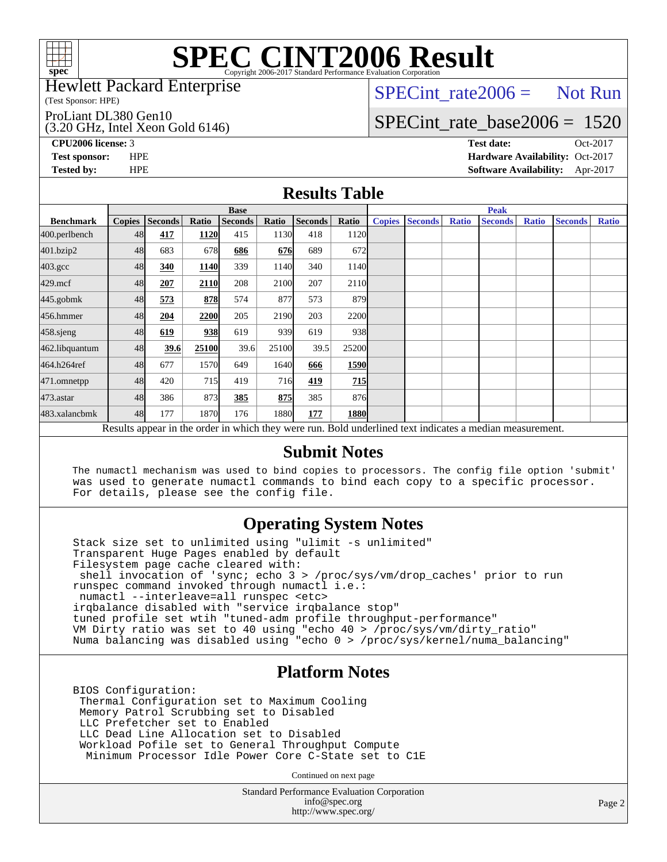

#### Hewlett Packard Enterprise

(Test Sponsor: HPE)

ProLiant DL380 Gen10

(3.20 GHz, Intel Xeon Gold 6146)

 $SPECTnt_rate2006 = Not Run$ 

# [SPECint\\_rate\\_base2006 =](http://www.spec.org/auto/cpu2006/Docs/result-fields.html#SPECintratebase2006) 1520

**[CPU2006 license:](http://www.spec.org/auto/cpu2006/Docs/result-fields.html#CPU2006license)** 3 **[Test date:](http://www.spec.org/auto/cpu2006/Docs/result-fields.html#Testdate)** Oct-2017 **[Test sponsor:](http://www.spec.org/auto/cpu2006/Docs/result-fields.html#Testsponsor)** HPE **[Hardware Availability:](http://www.spec.org/auto/cpu2006/Docs/result-fields.html#HardwareAvailability)** Oct-2017 **[Tested by:](http://www.spec.org/auto/cpu2006/Docs/result-fields.html#Testedby)** HPE **[Software Availability:](http://www.spec.org/auto/cpu2006/Docs/result-fields.html#SoftwareAvailability)** Apr-2017

### **[Results Table](http://www.spec.org/auto/cpu2006/Docs/result-fields.html#ResultsTable)**

|                                                                                                          | <b>Base</b>   |                |       |                |       | <b>Peak</b>    |                  |               |                |              |                |              |                |              |
|----------------------------------------------------------------------------------------------------------|---------------|----------------|-------|----------------|-------|----------------|------------------|---------------|----------------|--------------|----------------|--------------|----------------|--------------|
| <b>Benchmark</b>                                                                                         | <b>Copies</b> | <b>Seconds</b> | Ratio | <b>Seconds</b> | Ratio | <b>Seconds</b> | Ratio            | <b>Copies</b> | <b>Seconds</b> | <b>Ratio</b> | <b>Seconds</b> | <b>Ratio</b> | <b>Seconds</b> | <b>Ratio</b> |
| 400.perlbench                                                                                            | 48            | 417            | 1120  | 415            | 1130  | 418            | 1120             |               |                |              |                |              |                |              |
| 401.bzip2                                                                                                | 48            | 683            | 678   | 686            | 676   | 689            | 672              |               |                |              |                |              |                |              |
| $403.\mathrm{gcc}$                                                                                       | 48            | 340            | 1140  | 339            | 1140  | 340            | 1140             |               |                |              |                |              |                |              |
| $429$ .mcf                                                                                               | 48            | 207            | 2110  | 208            | 2100  | 207            | 2110             |               |                |              |                |              |                |              |
| $445$ .gobm $k$                                                                                          | 48            | 573            | 878   | 574            | 877   | 573            | 879I             |               |                |              |                |              |                |              |
| 456.hmmer                                                                                                | 48            | 204            | 2200  | 205            | 2190  | 203            | 2200             |               |                |              |                |              |                |              |
| $458$ .sjeng                                                                                             | 48            | 619            | 938   | 619            | 939   | 619            | 938l             |               |                |              |                |              |                |              |
| 462.libquantum                                                                                           | 48            | 39.6           | 25100 | 39.6           | 25100 | 39.5           | 25200            |               |                |              |                |              |                |              |
| 464.h264ref                                                                                              | 48            | 677            | 1570  | 649            | 1640  | 666            | 1590             |               |                |              |                |              |                |              |
| 471.omnetpp                                                                                              | 48            | 420            | 715   | 419            | 716   | 419            | $\overline{215}$ |               |                |              |                |              |                |              |
| 473.astar                                                                                                | 48            | 386            | 873   | 385            | 875   | 385            | 876I             |               |                |              |                |              |                |              |
| 483.xalancbmk                                                                                            | 48            | 177            | 1870  | 176            | 1880  | 177            | 1880             |               |                |              |                |              |                |              |
| Results appear in the order in which they were run. Bold underlined text indicates a median measurement. |               |                |       |                |       |                |                  |               |                |              |                |              |                |              |

### **[Submit Notes](http://www.spec.org/auto/cpu2006/Docs/result-fields.html#SubmitNotes)**

 The numactl mechanism was used to bind copies to processors. The config file option 'submit' was used to generate numactl commands to bind each copy to a specific processor. For details, please see the config file.

### **[Operating System Notes](http://www.spec.org/auto/cpu2006/Docs/result-fields.html#OperatingSystemNotes)**

 Stack size set to unlimited using "ulimit -s unlimited" Transparent Huge Pages enabled by default Filesystem page cache cleared with: shell invocation of 'sync; echo 3 > /proc/sys/vm/drop\_caches' prior to run runspec command invoked through numactl i.e.: numactl --interleave=all runspec <etc> irqbalance disabled with "service irqbalance stop" tuned profile set wtih "tuned-adm profile throughput-performance" VM Dirty ratio was set to 40 using "echo 40 > /proc/sys/vm/dirty\_ratio" Numa balancing was disabled using "echo 0 > /proc/sys/kernel/numa\_balancing"

### **[Platform Notes](http://www.spec.org/auto/cpu2006/Docs/result-fields.html#PlatformNotes)**

 BIOS Configuration: Thermal Configuration set to Maximum Cooling Memory Patrol Scrubbing set to Disabled LLC Prefetcher set to Enabled LLC Dead Line Allocation set to Disabled Workload Pofile set to General Throughput Compute Minimum Processor Idle Power Core C-State set to C1E

Continued on next page

Standard Performance Evaluation Corporation [info@spec.org](mailto:info@spec.org) <http://www.spec.org/>

Page 2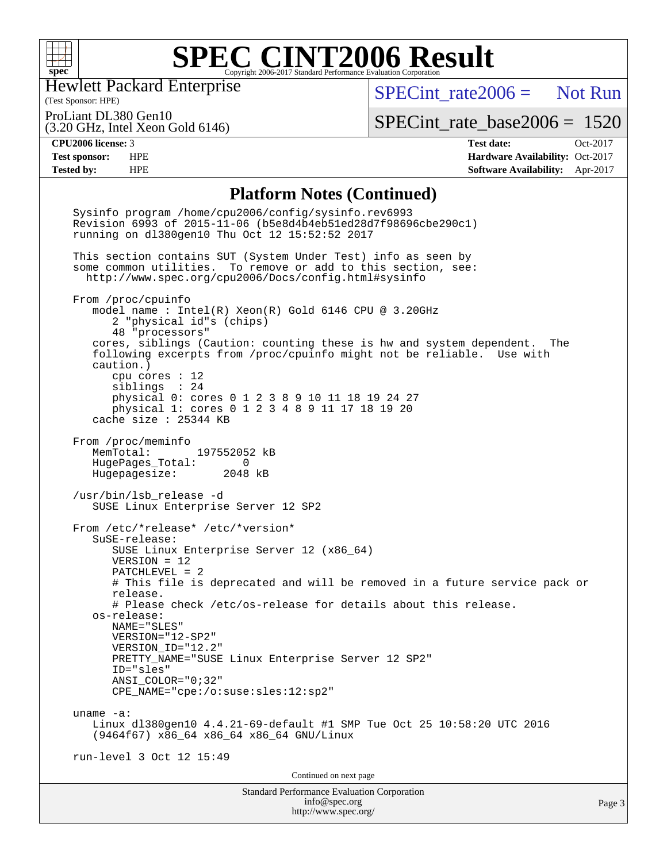

Hewlett Packard Enterprise

 $SPECint rate2006 =$  Not Run

(Test Sponsor: HPE) ProLiant DL380 Gen10

(3.20 GHz, Intel Xeon Gold 6146)

[SPECint\\_rate\\_base2006 =](http://www.spec.org/auto/cpu2006/Docs/result-fields.html#SPECintratebase2006) 1520

**[CPU2006 license:](http://www.spec.org/auto/cpu2006/Docs/result-fields.html#CPU2006license)** 3 **[Test date:](http://www.spec.org/auto/cpu2006/Docs/result-fields.html#Testdate)** Oct-2017 **[Test sponsor:](http://www.spec.org/auto/cpu2006/Docs/result-fields.html#Testsponsor)** HPE **[Hardware Availability:](http://www.spec.org/auto/cpu2006/Docs/result-fields.html#HardwareAvailability)** Oct-2017 **[Tested by:](http://www.spec.org/auto/cpu2006/Docs/result-fields.html#Testedby)** HPE **[Software Availability:](http://www.spec.org/auto/cpu2006/Docs/result-fields.html#SoftwareAvailability)** Apr-2017

#### **[Platform Notes \(Continued\)](http://www.spec.org/auto/cpu2006/Docs/result-fields.html#PlatformNotes)**

Standard Performance Evaluation Corporation [info@spec.org](mailto:info@spec.org) <http://www.spec.org/> Page 3 Sysinfo program /home/cpu2006/config/sysinfo.rev6993 Revision 6993 of 2015-11-06 (b5e8d4b4eb51ed28d7f98696cbe290c1) running on dl380gen10 Thu Oct 12 15:52:52 2017 This section contains SUT (System Under Test) info as seen by some common utilities. To remove or add to this section, see: <http://www.spec.org/cpu2006/Docs/config.html#sysinfo> From /proc/cpuinfo model name : Intel(R) Xeon(R) Gold 6146 CPU @ 3.20GHz 2 "physical id"s (chips) 48 "processors" cores, siblings (Caution: counting these is hw and system dependent. The following excerpts from /proc/cpuinfo might not be reliable. Use with caution.) cpu cores : 12 siblings : 24 physical 0: cores 0 1 2 3 8 9 10 11 18 19 24 27 physical 1: cores 0 1 2 3 4 8 9 11 17 18 19 20 cache size : 25344 KB From /proc/meminfo<br>MemTotal: 197552052 kB HugePages\_Total: 0<br>Hugepagesize: 2048 kB Hugepagesize: /usr/bin/lsb\_release -d SUSE Linux Enterprise Server 12 SP2 From /etc/\*release\* /etc/\*version\* SuSE-release: SUSE Linux Enterprise Server 12 (x86\_64) VERSION = 12 PATCHLEVEL = 2 # This file is deprecated and will be removed in a future service pack or release. # Please check /etc/os-release for details about this release. os-release: NAME="SLES" VERSION="12-SP2" VERSION\_ID="12.2" PRETTY\_NAME="SUSE Linux Enterprise Server 12 SP2" ID="sles" ANSI\_COLOR="0;32" CPE\_NAME="cpe:/o:suse:sles:12:sp2" uname -a: Linux dl380gen10 4.4.21-69-default #1 SMP Tue Oct 25 10:58:20 UTC 2016 (9464f67) x86\_64 x86\_64 x86\_64 GNU/Linux run-level 3 Oct 12 15:49 Continued on next page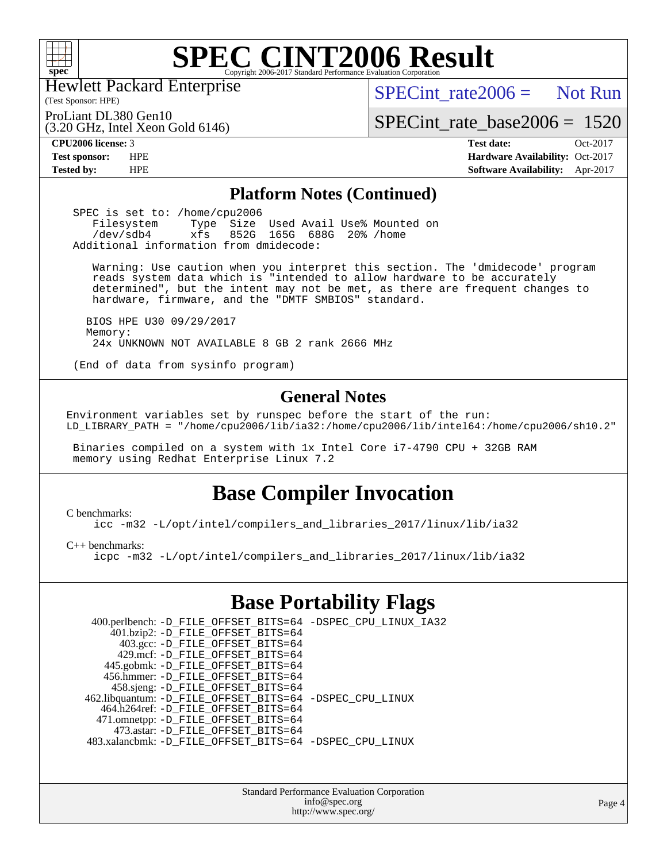

Hewlett Packard Enterprise

(Test Sponsor: HPE)

 $SPECint rate2006 =$  Not Run

ProLiant DL380 Gen10

(3.20 GHz, Intel Xeon Gold 6146)

[SPECint\\_rate\\_base2006 =](http://www.spec.org/auto/cpu2006/Docs/result-fields.html#SPECintratebase2006) 1520

**[CPU2006 license:](http://www.spec.org/auto/cpu2006/Docs/result-fields.html#CPU2006license)** 3 **[Test date:](http://www.spec.org/auto/cpu2006/Docs/result-fields.html#Testdate)** Oct-2017 **[Test sponsor:](http://www.spec.org/auto/cpu2006/Docs/result-fields.html#Testsponsor)** HPE **[Hardware Availability:](http://www.spec.org/auto/cpu2006/Docs/result-fields.html#HardwareAvailability)** Oct-2017 **[Tested by:](http://www.spec.org/auto/cpu2006/Docs/result-fields.html#Testedby)** HPE **[Software Availability:](http://www.spec.org/auto/cpu2006/Docs/result-fields.html#SoftwareAvailability)** Apr-2017

### **[Platform Notes \(Continued\)](http://www.spec.org/auto/cpu2006/Docs/result-fields.html#PlatformNotes)**

SPEC is set to: /home/cpu2006<br>Filesystem Type Size Filesystem Type Size Used Avail Use% Mounted on /dev/sdb4 xfs 852G 165G 688G 20% /home Additional information from dmidecode:

 Warning: Use caution when you interpret this section. The 'dmidecode' program reads system data which is "intended to allow hardware to be accurately determined", but the intent may not be met, as there are frequent changes to hardware, firmware, and the "DMTF SMBIOS" standard.

 BIOS HPE U30 09/29/2017 Memory: 24x UNKNOWN NOT AVAILABLE 8 GB 2 rank 2666 MHz

(End of data from sysinfo program)

### **[General Notes](http://www.spec.org/auto/cpu2006/Docs/result-fields.html#GeneralNotes)**

Environment variables set by runspec before the start of the run: LD\_LIBRARY\_PATH = "/home/cpu2006/lib/ia32:/home/cpu2006/lib/intel64:/home/cpu2006/sh10.2"

 Binaries compiled on a system with 1x Intel Core i7-4790 CPU + 32GB RAM memory using Redhat Enterprise Linux 7.2

### **[Base Compiler Invocation](http://www.spec.org/auto/cpu2006/Docs/result-fields.html#BaseCompilerInvocation)**

[C benchmarks](http://www.spec.org/auto/cpu2006/Docs/result-fields.html#Cbenchmarks):

[icc -m32 -L/opt/intel/compilers\\_and\\_libraries\\_2017/linux/lib/ia32](http://www.spec.org/cpu2006/results/res2017q4/cpu2006-20171017-50289.flags.html#user_CCbase_intel_icc_c29f3ff5a7ed067b11e4ec10a03f03ae)

[C++ benchmarks:](http://www.spec.org/auto/cpu2006/Docs/result-fields.html#CXXbenchmarks)

[icpc -m32 -L/opt/intel/compilers\\_and\\_libraries\\_2017/linux/lib/ia32](http://www.spec.org/cpu2006/results/res2017q4/cpu2006-20171017-50289.flags.html#user_CXXbase_intel_icpc_8c35c7808b62dab9ae41a1aa06361b6b)

### **[Base Portability Flags](http://www.spec.org/auto/cpu2006/Docs/result-fields.html#BasePortabilityFlags)**

| 400.perlbench: -D_FILE_OFFSET_BITS=64 -DSPEC_CPU_LINUX_IA32 |  |
|-------------------------------------------------------------|--|
| 401.bzip2: -D_FILE_OFFSET_BITS=64                           |  |
| 403.gcc: -D_FILE_OFFSET_BITS=64                             |  |
| 429.mcf: -D FILE OFFSET BITS=64                             |  |
| 445.gobmk: -D_FILE_OFFSET_BITS=64                           |  |
| 456.hmmer: -D FILE OFFSET BITS=64                           |  |
| 458.sjeng: -D_FILE_OFFSET_BITS=64                           |  |
| 462.libquantum: -D_FILE_OFFSET_BITS=64 -DSPEC_CPU_LINUX     |  |
| 464.h264ref: -D_FILE_OFFSET_BITS=64                         |  |
| 471.omnetpp: -D_FILE_OFFSET_BITS=64                         |  |
| 473.astar: -D FILE OFFSET BITS=64                           |  |
| 483.xalancbmk: -D FILE OFFSET BITS=64 -DSPEC CPU LINUX      |  |

Standard Performance Evaluation Corporation [info@spec.org](mailto:info@spec.org) <http://www.spec.org/>